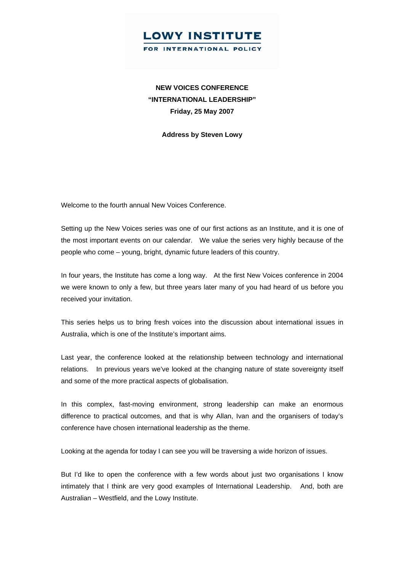

**NEW VOICES CONFERENCE "INTERNATIONAL LEADERSHIP" Friday, 25 May 2007** 

**Address by Steven Lowy** 

Welcome to the fourth annual New Voices Conference.

Setting up the New Voices series was one of our first actions as an Institute, and it is one of the most important events on our calendar. We value the series very highly because of the people who come – young, bright, dynamic future leaders of this country.

In four years, the Institute has come a long way. At the first New Voices conference in 2004 we were known to only a few, but three years later many of you had heard of us before you received your invitation.

This series helps us to bring fresh voices into the discussion about international issues in Australia, which is one of the Institute's important aims.

Last year, the conference looked at the relationship between technology and international relations. In previous years we've looked at the changing nature of state sovereignty itself and some of the more practical aspects of globalisation.

In this complex, fast-moving environment, strong leadership can make an enormous difference to practical outcomes, and that is why Allan, Ivan and the organisers of today's conference have chosen international leadership as the theme.

Looking at the agenda for today I can see you will be traversing a wide horizon of issues.

But I'd like to open the conference with a few words about just two organisations I know intimately that I think are very good examples of International Leadership. And, both are Australian – Westfield, and the Lowy Institute.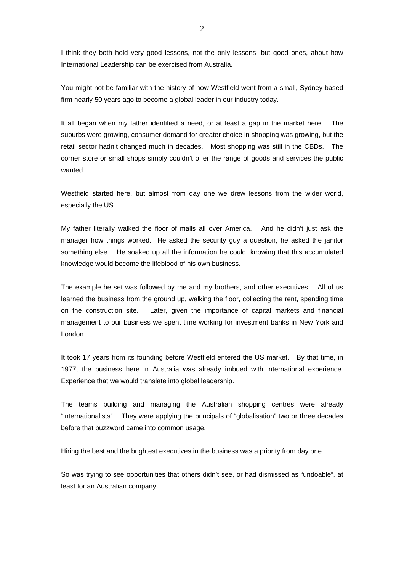I think they both hold very good lessons, not the only lessons, but good ones, about how International Leadership can be exercised from Australia.

You might not be familiar with the history of how Westfield went from a small, Sydney-based firm nearly 50 years ago to become a global leader in our industry today.

It all began when my father identified a need, or at least a gap in the market here. The suburbs were growing, consumer demand for greater choice in shopping was growing, but the retail sector hadn't changed much in decades. Most shopping was still in the CBDs. The corner store or small shops simply couldn't offer the range of goods and services the public wanted.

Westfield started here, but almost from day one we drew lessons from the wider world, especially the US.

My father literally walked the floor of malls all over America. And he didn't just ask the manager how things worked. He asked the security guy a question, he asked the janitor something else. He soaked up all the information he could, knowing that this accumulated knowledge would become the lifeblood of his own business.

The example he set was followed by me and my brothers, and other executives. All of us learned the business from the ground up, walking the floor, collecting the rent, spending time on the construction site. Later, given the importance of capital markets and financial management to our business we spent time working for investment banks in New York and London.

It took 17 years from its founding before Westfield entered the US market. By that time, in 1977, the business here in Australia was already imbued with international experience. Experience that we would translate into global leadership.

The teams building and managing the Australian shopping centres were already "internationalists". They were applying the principals of "globalisation" two or three decades before that buzzword came into common usage.

Hiring the best and the brightest executives in the business was a priority from day one.

So was trying to see opportunities that others didn't see, or had dismissed as "undoable", at least for an Australian company.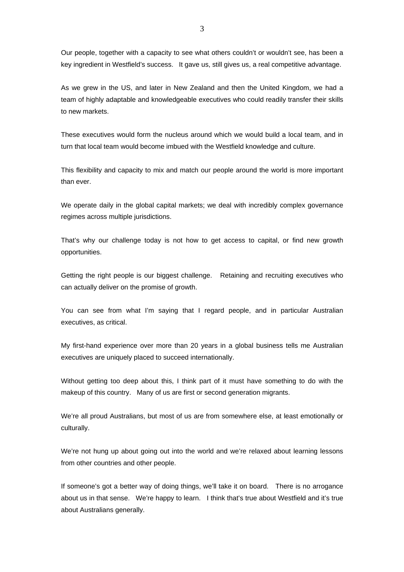Our people, together with a capacity to see what others couldn't or wouldn't see, has been a key ingredient in Westfield's success. It gave us, still gives us, a real competitive advantage.

As we grew in the US, and later in New Zealand and then the United Kingdom, we had a team of highly adaptable and knowledgeable executives who could readily transfer their skills to new markets.

These executives would form the nucleus around which we would build a local team, and in turn that local team would become imbued with the Westfield knowledge and culture.

This flexibility and capacity to mix and match our people around the world is more important than ever.

We operate daily in the global capital markets; we deal with incredibly complex governance regimes across multiple jurisdictions.

That's why our challenge today is not how to get access to capital, or find new growth opportunities.

Getting the right people is our biggest challenge. Retaining and recruiting executives who can actually deliver on the promise of growth.

You can see from what I'm saying that I regard people, and in particular Australian executives, as critical.

My first-hand experience over more than 20 years in a global business tells me Australian executives are uniquely placed to succeed internationally.

Without getting too deep about this, I think part of it must have something to do with the makeup of this country. Many of us are first or second generation migrants.

We're all proud Australians, but most of us are from somewhere else, at least emotionally or culturally.

We're not hung up about going out into the world and we're relaxed about learning lessons from other countries and other people.

If someone's got a better way of doing things, we'll take it on board. There is no arrogance about us in that sense. We're happy to learn. I think that's true about Westfield and it's true about Australians generally.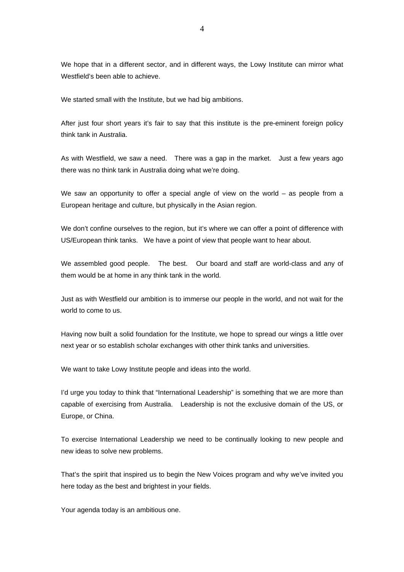We hope that in a different sector, and in different ways, the Lowy Institute can mirror what Westfield's been able to achieve.

We started small with the Institute, but we had big ambitions.

After just four short years it's fair to say that this institute is the pre-eminent foreign policy think tank in Australia.

As with Westfield, we saw a need. There was a gap in the market. Just a few years ago there was no think tank in Australia doing what we're doing.

We saw an opportunity to offer a special angle of view on the world – as people from a European heritage and culture, but physically in the Asian region.

We don't confine ourselves to the region, but it's where we can offer a point of difference with US/European think tanks. We have a point of view that people want to hear about.

We assembled good people. The best. Our board and staff are world-class and any of them would be at home in any think tank in the world.

Just as with Westfield our ambition is to immerse our people in the world, and not wait for the world to come to us.

Having now built a solid foundation for the Institute, we hope to spread our wings a little over next year or so establish scholar exchanges with other think tanks and universities.

We want to take Lowy Institute people and ideas into the world.

I'd urge you today to think that "International Leadership" is something that we are more than capable of exercising from Australia. Leadership is not the exclusive domain of the US, or Europe, or China.

To exercise International Leadership we need to be continually looking to new people and new ideas to solve new problems.

That's the spirit that inspired us to begin the New Voices program and why we've invited you here today as the best and brightest in your fields.

Your agenda today is an ambitious one.